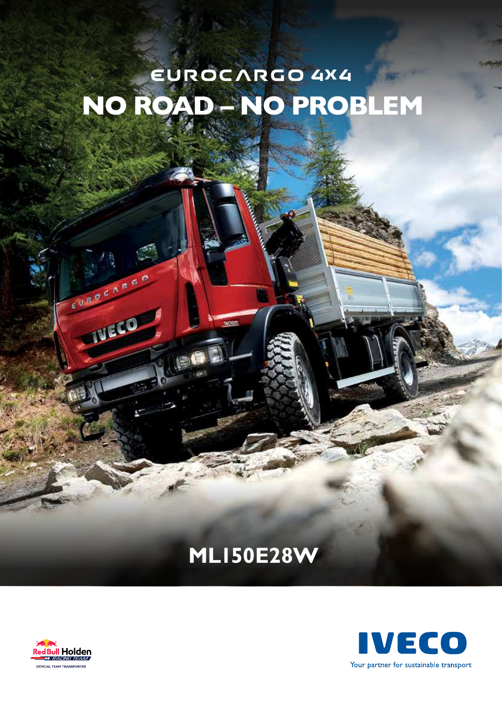# EUROCARGO 4X4

## **MLI50E28W**



EURPEARED

**IVECO**